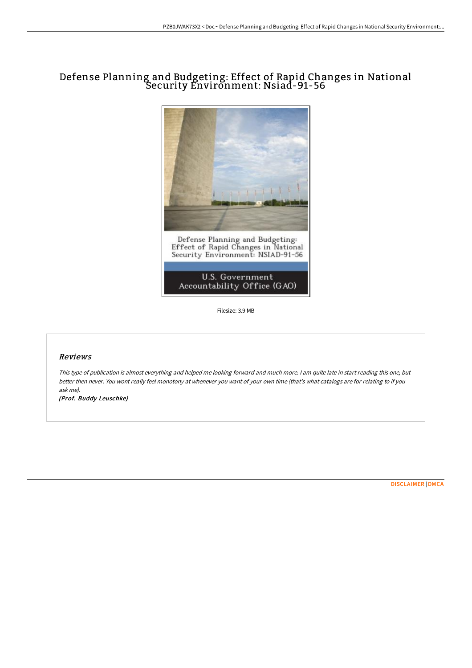## Defense Planning and Budgeting: Effect of Rapid Changes in National Security Environment: Nsiad-91-56



Filesize: 3.9 MB

## Reviews

This type of publication is almost everything and helped me looking forward and much more. <sup>I</sup> am quite late in start reading this one, but better then never. You wont really feel monotony at whenever you want of your own time (that's what catalogs are for relating to if you ask me).

(Prof. Buddy Leuschke)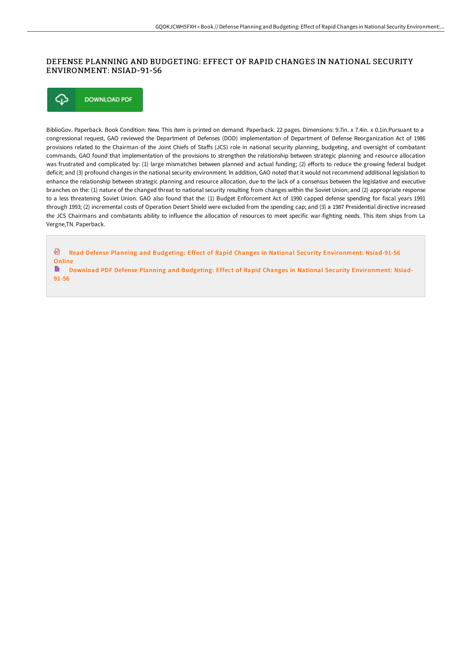## DEFENSE PLANNING AND BUDGETING: EFFECT OF RAPID CHANGES IN NATIONAL SECURITY ENVIRONMENT: NSIAD-91-56

⊕ **DOWNLOAD PDF** 

BiblioGov. Paperback. Book Condition: New. This item is printed on demand. Paperback. 22 pages. Dimensions: 9.7in. x 7.4in. x 0.1in.Pursuant to a congressional request, GAO reviewed the Department of Defenses (DOD) implementation of Department of Defense Reorganization Act of 1986 provisions related to the Chairman of the Joint Chiefs of Staffs (JCS) role in national security planning, budgeting, and oversight of combatant commands. GAO found that implementation of the provisions to strengthen the relationship between strategic planning and resource allocation was frustrated and complicated by: (1) large mismatches between planned and actual funding; (2) efforts to reduce the growing federal budget deficit; and (3) profound changes in the national security environment. In addition, GAO noted that it would not recommend additional legislation to enhance the relationship between strategic planning and resource allocation, due to the lack of a consensus between the legislative and executive branches on the: (1) nature of the changed threat to national security resulting from changes within the Soviet Union; and (2) appropriate response to a less threatening Soviet Union. GAO also found that the: (1) Budget Enforcement Act of 1990 capped defense spending for fiscal years 1991 through 1993; (2) incremental costs of Operation Desert Shield were excluded from the spending cap; and (3) a 1987 Presidential directive increased the JCS Chairmans and combatants ability to influence the allocation of resources to meet specific war-fighting needs. This item ships from La Vergne,TN. Paperback.

Read Defense Planning and Budgeting: Effect of Rapid Changes in National Security [Environment:](http://digilib.live/defense-planning-and-budgeting-effect-of-rapid-c.html) Nsiad-91-56 Online

Download PDF Defense Planning and Budgeting: Effect of Rapid Changes in National Security [Environment:](http://digilib.live/defense-planning-and-budgeting-effect-of-rapid-c.html) Nsiad-91-56